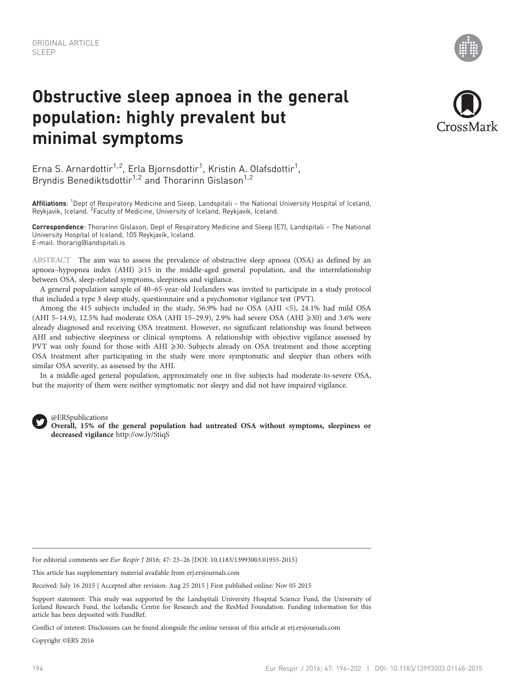# Obstructive sleep apnoea in the general population: highly prevalent but minimal symptoms



Erna S. Arnardottir<sup>1,2</sup>, Erla Bjornsdottir<sup>1</sup>, Kristin A. Olafsdottir<sup>1</sup>, Bryndis Benediktsdottir<sup>1,2</sup> and Thorarinn Gislason<sup>1,2</sup>

**Affiliations**: <sup>1</sup>Dept of Respiratory Medicine and Sleep, Landspitali – the National University Hospital of Iceland, Reykjavik, Iceland. <sup>2</sup> Faculty of Medicine, University of Iceland, Reykjavik, Iceland.

Correspondence: Thorarinn Gislason, Dept of Respiratory Medicine and Sleep (E7), Landspitali – The National University Hospital of Iceland, 105 Reykjavík, Iceland. E-mail: [thorarig@landspitali.is](mailto:thorarig@landspitali.is)

ABSTRACT The aim was to assess the prevalence of obstructive sleep apnoea (OSA) as defined by an apnoea–hypopnea index (AHI)  $\geqslant$ 15 in the middle-aged general population, and the interrelationship between OSA, sleep-related symptoms, sleepiness and vigilance.

A general population sample of 40–65-year-old Icelanders was invited to participate in a study protocol that included a type 3 sleep study, questionnaire and a psychomotor vigilance test (PVT).

Among the 415 subjects included in the study, 56.9% had no OSA (AHI <5), 24.1% had mild OSA (AHI 5–14.9), 12.5% had moderate OSA (AHI 15–29.9), 2.9% had severe OSA (AHI  $\geq$ 30) and 3.6% were already diagnosed and receiving OSA treatment. However, no significant relationship was found between AHI and subjective sleepiness or clinical symptoms. A relationship with objective vigilance assessed by PVT was only found for those with AHI ≥30. Subjects already on OSA treatment and those accepting OSA treatment after participating in the study were more symptomatic and sleepier than others with similar OSA severity, as assessed by the AHI.

In a middle-aged general population, approximately one in five subjects had moderate-to-severe OSA, but the majority of them were neither symptomatic nor sleepy and did not have impaired vigilance.



@ERSpublications

Overall, 15% of the general population had untreated OSA without symptoms, sleepiness or decreased vigilance http://ow.ly/StiqS

For editorial comments see Eur Respir J 2016; 47: 23–26 [DOI: [10.1183/13993003.01955-2015\]](http://dx.doi.org/10.1183/13993003.01955-2015)

This article has supplementary material available from<erj.ersjournals.com>

Received: July 16 2015 | Accepted after revision: Aug 25 2015 | First published online: Nov 05 2015

Support statement: This study was supported by the Landspitali University Hospital Science Fund, the University of Iceland Research Fund, the Icelandic Centre for Research and the ResMed Foundation. Funding information for this article has been deposited with [FundRef.](http://www.crossref.org/fundref/)

Conflict of interest: Disclosures can be found alongside the online version of this article at<erj.ersjournals.com>

Copyright ©ERS 2016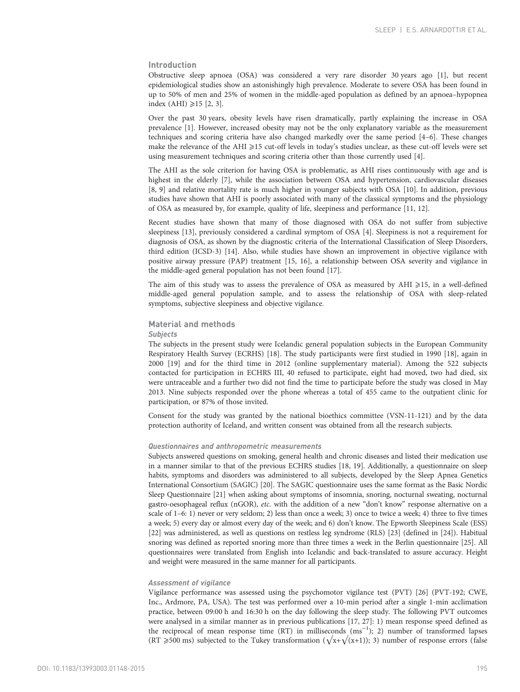#### Introduction

Obstructive sleep apnoea (OSA) was considered a very rare disorder 30 years ago [\[1](#page-7-0)], but recent epidemiological studies show an astonishingly high prevalence. Moderate to severe OSA has been found in up to 50% of men and 25% of women in the middle-aged population as defined by an apnoea–hypopnea index  $(AHI) \geq 15$  [[2](#page-7-0), [3](#page-7-0)].

Over the past 30 years, obesity levels have risen dramatically, partly explaining the increase in OSA prevalence [\[1\]](#page-7-0). However, increased obesity may not be the only explanatory variable as the measurement techniques and scoring criteria have also changed markedly over the same period [\[4](#page-7-0)–[6](#page-8-0)]. These changes make the relevance of the AHI  $\geq$ 15 cut-off levels in today's studies unclear, as these cut-off levels were set using measurement techniques and scoring criteria other than those currently used [\[4\]](#page-7-0).

The AHI as the sole criterion for having OSA is problematic, as AHI rises continuously with age and is highest in the elderly [[7\]](#page-8-0), while the association between OSA and hypertension, cardiovascular diseases [\[8, 9\]](#page-8-0) and relative mortality rate is much higher in younger subjects with OSA [\[10\]](#page-8-0). In addition, previous studies have shown that AHI is poorly associated with many of the classical symptoms and the physiology of OSA as measured by, for example, quality of life, sleepiness and performance [\[11, 12](#page-8-0)].

Recent studies have shown that many of those diagnosed with OSA do not suffer from subjective sleepiness [\[13](#page-8-0)], previously considered a cardinal symptom of OSA [[4](#page-7-0)]. Sleepiness is not a requirement for diagnosis of OSA, as shown by the diagnostic criteria of the International Classification of Sleep Disorders, third edition (ICSD-3) [\[14](#page-8-0)]. Also, while studies have shown an improvement in objective vigilance with positive airway pressure (PAP) treatment [\[15](#page-8-0), [16](#page-8-0)], a relationship between OSA severity and vigilance in the middle-aged general population has not been found [[17](#page-8-0)].

The aim of this study was to assess the prevalence of OSA as measured by AHI ≥15, in a well-defined middle-aged general population sample, and to assess the relationship of OSA with sleep-related symptoms, subjective sleepiness and objective vigilance.

#### Material and methods

#### **Subjects**

The subjects in the present study were Icelandic general population subjects in the European Community Respiratory Health Survey (ECRHS) [[18](#page-8-0)]. The study participants were first studied in 1990 [[18](#page-8-0)], again in 2000 [\[19\]](#page-8-0) and for the third time in 2012 (online supplementary material). Among the 522 subjects contacted for participation in ECHRS III, 40 refused to participate, eight had moved, two had died, six were untraceable and a further two did not find the time to participate before the study was closed in May 2013. Nine subjects responded over the phone whereas a total of 455 came to the outpatient clinic for participation, or 87% of those invited.

Consent for the study was granted by the national bioethics committee (VSN-11-121) and by the data protection authority of Iceland, and written consent was obtained from all the research subjects.

#### Questionnaires and anthropometric measurements

Subjects answered questions on smoking, general health and chronic diseases and listed their medication use in a manner similar to that of the previous ECHRS studies [\[18, 19](#page-8-0)]. Additionally, a questionnaire on sleep habits, symptoms and disorders was administered to all subjects, developed by the Sleep Apnea Genetics International Consortium (SAGIC) [\[20\]](#page-8-0). The SAGIC questionnaire uses the same format as the Basic Nordic Sleep Questionnaire [\[21\]](#page-8-0) when asking about symptoms of insomnia, snoring, nocturnal sweating, nocturnal gastro-oesophageal reflux (nGOR), etc. with the addition of a new "don't know" response alternative on a scale of 1–6: 1) never or very seldom; 2) less than once a week; 3) once to twice a week; 4) three to five times a week; 5) every day or almost every day of the week; and 6) don't know. The Epworth Sleepiness Scale (ESS) [\[22\]](#page-8-0) was administered, as well as questions on restless leg syndrome (RLS) [\[23\]](#page-8-0) (defined in [[24](#page-8-0)]). Habitual snoring was defined as reported snoring more than three times a week in the Berlin questionnaire [\[25\]](#page-8-0). All questionnaires were translated from English into Icelandic and back-translated to assure accuracy. Height and weight were measured in the same manner for all participants.

#### Assessment of vigilance

Vigilance performance was assessed using the psychomotor vigilance test (PVT) [\[26\]](#page-8-0) (PVT-192; CWE, Inc., Ardmore, PA, USA). The test was performed over a 10-min period after a single 1-min acclimation practice, between 09:00 h and 16:30 h on the day following the sleep study. The following PVT outcomes were analysed in a similar manner as in previous publications [\[17](#page-8-0), [27](#page-8-0)]: 1) mean response speed defined as the reciprocal of mean response time (RT) in milliseconds (ms−<sup>1</sup> ); 2) number of transformed lapses (RT  $\geqslant$ 500 ms) subjected to the Tukey transformation ( $\sqrt{x}+\sqrt{(x+1)}$ ); 3) number of response errors (false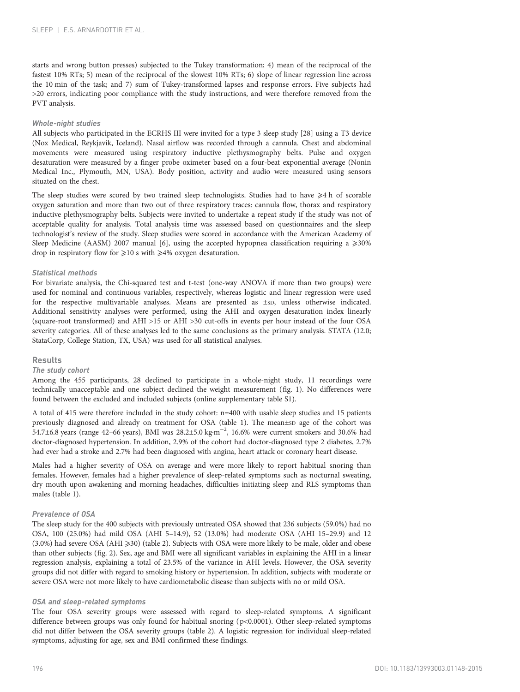starts and wrong button presses) subjected to the Tukey transformation; 4) mean of the reciprocal of the fastest 10% RTs; 5) mean of the reciprocal of the slowest 10% RTs; 6) slope of linear regression line across the 10 min of the task; and 7) sum of Tukey-transformed lapses and response errors. Five subjects had >20 errors, indicating poor compliance with the study instructions, and were therefore removed from the PVT analysis.

#### Whole-night studies

All subjects who participated in the ECRHS III were invited for a type 3 sleep study [\[28\]](#page-8-0) using a T3 device (Nox Medical, Reykjavik, Iceland). Nasal airflow was recorded through a cannula. Chest and abdominal movements were measured using respiratory inductive plethysmography belts. Pulse and oxygen desaturation were measured by a finger probe oximeter based on a four-beat exponential average (Nonin Medical Inc., Plymouth, MN, USA). Body position, activity and audio were measured using sensors situated on the chest.

The sleep studies were scored by two trained sleep technologists. Studies had to have  $\geq 4$  h of scorable oxygen saturation and more than two out of three respiratory traces: cannula flow, thorax and respiratory inductive plethysmography belts. Subjects were invited to undertake a repeat study if the study was not of acceptable quality for analysis. Total analysis time was assessed based on questionnaires and the sleep technologist's review of the study. Sleep studies were scored in accordance with the American Academy of Sleep Medicine (AASM) 2007 manual [\[6\]](#page-8-0), using the accepted hypopnea classification requiring a  $\geq$ 30% drop in respiratory flow for  $\geq 10$  s with  $\geq 4\%$  oxygen desaturation.

#### Statistical methods

For bivariate analysis, the Chi-squared test and t-test (one-way ANOVA if more than two groups) were used for nominal and continuous variables, respectively, whereas logistic and linear regression were used for the respective multivariable analyses. Means are presented as  $\pm$ sp, unless otherwise indicated. Additional sensitivity analyses were performed, using the AHI and oxygen desaturation index linearly (square-root transformed) and AHI >15 or AHI >30 cut-offs in events per hour instead of the four OSA severity categories. All of these analyses led to the same conclusions as the primary analysis. STATA (12.0; StataCorp, College Station, TX, USA) was used for all statistical analyses.

#### Results

#### The study cohort

Among the 455 participants, 28 declined to participate in a whole-night study, 11 recordings were technically unacceptable and one subject declined the weight measurement [\(fig. 1\)](#page-3-0). No differences were found between the excluded and included subjects (online supplementary table S1).

A total of 415 were therefore included in the study cohort: n=400 with usable sleep studies and 15 patients previously diagnosed and already on treatment for OSA [\(table 1](#page-4-0)). The mean±sp age of the cohort was 54.7±6.8 years (range 42–66 years), BMI was 28.2±5.0 kg·m−<sup>2</sup> , 16.6% were current smokers and 30.6% had doctor-diagnosed hypertension. In addition, 2.9% of the cohort had doctor-diagnosed type 2 diabetes, 2.7% had ever had a stroke and 2.7% had been diagnosed with angina, heart attack or coronary heart disease.

Males had a higher severity of OSA on average and were more likely to report habitual snoring than females. However, females had a higher prevalence of sleep-related symptoms such as nocturnal sweating, dry mouth upon awakening and morning headaches, difficulties initiating sleep and RLS symptoms than males [\(table 1](#page-4-0)).

#### Prevalence of OSA

The sleep study for the 400 subjects with previously untreated OSA showed that 236 subjects (59.0%) had no OSA, 100 (25.0%) had mild OSA (AHI 5–14.9), 52 (13.0%) had moderate OSA (AHI 15–29.9) and 12  $(3.0%)$  had severe OSA (AHI  $\geqslant$ 30) [\(table 2](#page-5-0)). Subjects with OSA were more likely to be male, older and obese than other subjects ([fig. 2](#page-6-0)). Sex, age and BMI were all significant variables in explaining the AHI in a linear regression analysis, explaining a total of 23.5% of the variance in AHI levels. However, the OSA severity groups did not differ with regard to smoking history or hypertension. In addition, subjects with moderate or severe OSA were not more likely to have cardiometabolic disease than subjects with no or mild OSA.

#### OSA and sleep-related symptoms

The four OSA severity groups were assessed with regard to sleep-related symptoms. A significant difference between groups was only found for habitual snoring (p<0.0001). Other sleep-related symptoms did not differ between the OSA severity groups ([table 2](#page-5-0)). A logistic regression for individual sleep-related symptoms, adjusting for age, sex and BMI confirmed these findings.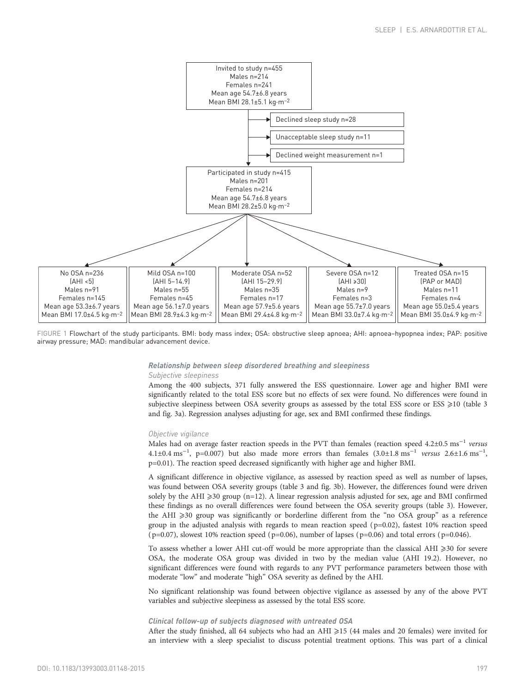<span id="page-3-0"></span>

FIGURE 1 Flowchart of the study participants. BMI: body mass index; OSA: obstructive sleep apnoea; AHI: apnoea–hypopnea index; PAP: positive airway pressure; MAD: mandibular advancement device.

## Relationship between sleep disordered breathing and sleepiness

Among the 400 subjects, 371 fully answered the ESS questionnaire. Lower age and higher BMI were significantly related to the total ESS score but no effects of sex were found. No differences were found in subjective sleepiness between OSA severity groups as assessed by the total ESS score or ESS  $\geq$ 10 ([table 3](#page-6-0) and [fig. 3a](#page-7-0)). Regression analyses adjusting for age, sex and BMI confirmed these findings.

Males had on average faster reaction speeds in the PVT than females (reaction speed 4.2±0.5 ms<sup>-1</sup> versus  $4.1 \pm 0.4 \text{ ms}^{-1}$ , p=0.007) but also made more errors than females  $(3.0 \pm 1.8 \text{ ms}^{-1}$  versus  $2.6 \pm 1.6 \text{ ms}^{-1}$ p=0.01). The reaction speed decreased significantly with higher age and higher BMI.

A significant difference in objective vigilance, as assessed by reaction speed as well as number of lapses, was found between OSA severity groups ([table 3](#page-6-0) and [fig. 3b\)](#page-7-0). However, the differences found were driven solely by the AHI  $\geq$ 30 group (n=12). A linear regression analysis adjusted for sex, age and BMI confirmed these findings as no overall differences were found between the OSA severity groups [\(table 3](#page-6-0)). However, the AHI ≥30 group was significantly or borderline different from the "no OSA group" as a reference group in the adjusted analysis with regards to mean reaction speed ( $p=0.02$ ), fastest 10% reaction speed ( $p=0.07$ ), slowest 10% reaction speed ( $p=0.06$ ), number of lapses ( $p=0.06$ ) and total errors ( $p=0.046$ ).

To assess whether a lower AHI cut-off would be more appropriate than the classical AHI  $\geqslant$ 30 for severe OSA, the moderate OSA group was divided in two by the median value (AHI 19.2). However, no significant differences were found with regards to any PVT performance parameters between those with moderate "low" and moderate "high" OSA severity as defined by the AHI.

No significant relationship was found between objective vigilance as assessed by any of the above PVT variables and subjective sleepiness as assessed by the total ESS score.

#### Clinical follow-up of subjects diagnosed with untreated OSA

After the study finished, all 64 subjects who had an AHI  $\geq$ 15 (44 males and 20 females) were invited for an interview with a sleep specialist to discuss potential treatment options. This was part of a clinical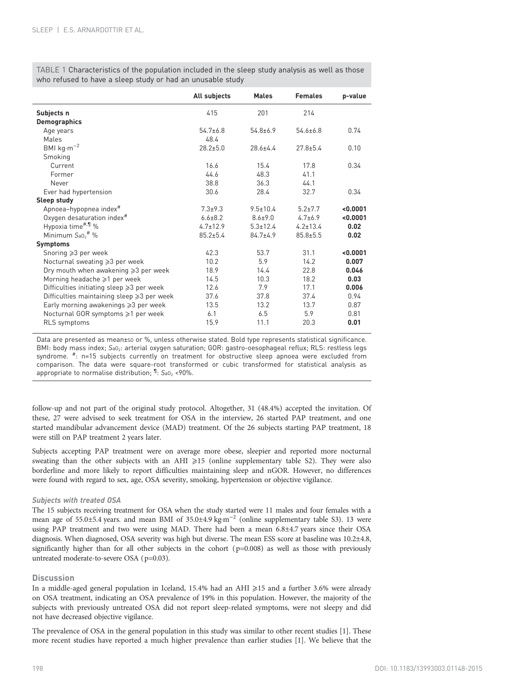<span id="page-4-0"></span>TABLE 1 Characteristics of the population included in the sleep study analysis as well as those who refused to have a sleep study or had an unusable study

|                                                     | All subjects   | <b>Males</b>   | <b>Females</b> | p-value  |
|-----------------------------------------------------|----------------|----------------|----------------|----------|
| Subjects n                                          | 415            | 201            | 214            |          |
| <b>Demographics</b>                                 |                |                |                |          |
| Age years                                           | $54.7 + 6.8$   | $54.8 + 6.9$   | $54.6 \pm 6.8$ | 0.74     |
| Males                                               | 48.4           |                |                |          |
| BMI $kg·m-2$                                        | $28.2 + 5.0$   | $28.6 + 4.4$   | $27.8 + 5.4$   | 0.10     |
| Smoking                                             |                |                |                |          |
| Current                                             | 16.6           | 15.4           | 17.8           | 0.34     |
| Former                                              | 44.6           | 48.3           | 41.1           |          |
| Never                                               | 38.8           | 36.3           | 441            |          |
| Ever had hypertension                               | 30.6           | 28.4           | 32.7           | 0.34     |
| Sleep study                                         |                |                |                |          |
| Apnoea-hypopnea index <sup>#</sup>                  | $7.3 + 9.3$    | $9.5 \pm 10.4$ | $5.2 + 7.7$    | < 0.0001 |
| Oxygen desaturation index <sup>#</sup>              | $6.6 \pm 8.2$  | $8.6 \pm 9.0$  | $4.7+6.9$      | < 0.0001 |
| Hypoxia time <sup>#,¶</sup> %                       | $4.7 \pm 12.9$ | $5.3 \pm 12.4$ | $4.2 \pm 13.4$ | 0.02     |
| Minimum $S_{a0}$ <sup>#</sup> %                     | $85.2 + 5.4$   | $84.7+4.9$     | $85.8 \pm 5.5$ | 0.02     |
| <b>Symptoms</b>                                     |                |                |                |          |
| Snoring $\geqslant$ 2 per week                      | 42.3           | 53.7           | 31.1           | < 0.0001 |
| Nocturnal sweating ≥3 per week                      | 10.2           | 5.9            | 14.2           | 0.007    |
| Dry mouth when awakening $\geqslant$ per week       | 18.9           | 14.4           | 22.8           | 0.046    |
| Morning headache $\geq 1$ per week                  | 14.5           | 10.3           | 18.2           | 0.03     |
| Difficulties initiating sleep $\geqslant$ per week  | 12.6           | 7.9            | 17.1           | 0.006    |
| Difficulties maintaining sleep $\geqslant$ per week | 37.6           | 37.8           | 37.4           | 0.94     |
| Early morning awakenings $\geqslant$ 3 per week     | 13.5           | 13.2           | 13.7           | 0.87     |
| Nocturnal GOR symptoms ≥1 per week                  | 6.1            | 6.5            | 5.9            | 0.81     |
| RLS symptoms                                        | 15.9           | 11.1           | 20.3           | 0.01     |

Data are presented as mean±sD or %, unless otherwise stated. Bold type represents statistical significance. BMI: body mass index; SaO<sub>2</sub>: arterial oxygen saturation; GOR: gastro-oesophageal reflux; RLS: restless legs syndrome. <sup>#</sup>: n=15 subjects currently on treatment for obstructive sleep apnoea were excluded from comparison. The data were square-root transformed or cubic transformed for statistical analysis as appropriate to normalise distribution;  $\mathbb{1}$ : S<sub>aO2</sub> <90%.

follow-up and not part of the original study protocol. Altogether, 31 (48.4%) accepted the invitation. Of these, 27 were advised to seek treatment for OSA in the interview, 26 started PAP treatment, and one started mandibular advancement device (MAD) treatment. Of the 26 subjects starting PAP treatment, 18 were still on PAP treatment 2 years later.

Subjects accepting PAP treatment were on average more obese, sleepier and reported more nocturnal sweating than the other subjects with an AHI  $\geq 15$  (online supplementary table S2). They were also borderline and more likely to report difficulties maintaining sleep and nGOR. However, no differences were found with regard to sex, age, OSA severity, smoking, hypertension or objective vigilance.

#### Subjects with treated OSA

The 15 subjects receiving treatment for OSA when the study started were 11 males and four females with a mean age of 55.0±5.4 years. and mean BMI of 35.0±4.9 kg·m<sup>-2</sup> (online supplementary table S3). 13 were using PAP treatment and two were using MAD. There had been a mean 6.8±4.7 years since their OSA diagnosis. When diagnosed, OSA severity was high but diverse. The mean ESS score at baseline was 10.2±4.8, significantly higher than for all other subjects in the cohort  $(p=0.008)$  as well as those with previously untreated moderate-to-severe OSA (p=0.03).

### **Discussion**

In a middle-aged general population in Iceland, 15.4% had an AHI ⩾15 and a further 3.6% were already on OSA treatment, indicating an OSA prevalence of 19% in this population. However, the majority of the subjects with previously untreated OSA did not report sleep-related symptoms, were not sleepy and did not have decreased objective vigilance.

The prevalence of OSA in the general population in this study was similar to other recent studies [\[1\]](#page-7-0). These more recent studies have reported a much higher prevalence than earlier studies [[1](#page-7-0)]. We believe that the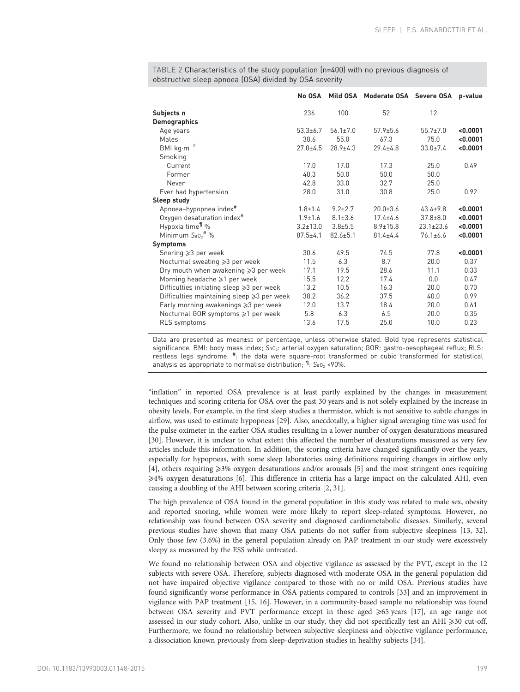|                                                     | No OSA         |                | Mild OSA Moderate OSA Severe OSA p-value |                 |          |
|-----------------------------------------------------|----------------|----------------|------------------------------------------|-----------------|----------|
| Subjects n                                          | 236            | 100            | 52                                       | 12              |          |
| <b>Demographics</b>                                 |                |                |                                          |                 |          |
| Age years                                           | $53.3 \pm 6.7$ | $56.1 \pm 7.0$ | $57.9 \pm 5.6$                           | $55.7 \pm 7.0$  | < 0.0001 |
| Males                                               | 38.6           | 55.0           | 67.3                                     | 75.0            | < 0.0001 |
| BMI $kg·m-2$                                        | $27.0 + 4.5$   | $28.9 \pm 4.3$ | $29.4 \pm 4.8$                           | $33.0 \pm 7.4$  | < 0.0001 |
| Smoking                                             |                |                |                                          |                 |          |
| Current                                             | 17.0           | 17.0           | 17.3                                     | 25.0            | 0.49     |
| Former                                              | 40.3           | 50.0           | 50.0                                     | 50.0            |          |
| Never                                               | 42.8           | 33.0           | 32.7                                     | 25.0            |          |
| Ever had hypertension                               | 28.0           | 31.0           | 30.8                                     | 25.0            | 0.92     |
| Sleep study                                         |                |                |                                          |                 |          |
| Apnoea-hypopnea index <sup>#</sup>                  | $1.8 \pm 1.4$  | $9.2 \pm 2.7$  | $20.0 + 3.6$                             | $43.4+9.8$      | < 0.0001 |
| Oxygen desaturation index <sup>#</sup>              | $1.9 \pm 1.6$  | $8.1 \pm 3.6$  | $17.4 + 4.6$                             | $37.8 + 8.0$    | < 0.0001 |
| Hypoxia time <sup>1</sup> %                         | $3.2 \pm 13.0$ | $3.8 + 5.5$    | $8.9 \pm 15.8$                           | $23.1 \pm 23.6$ | < 0.0001 |
| Minimum $S_{a0}$ <sup>#</sup> %                     | $87.5 \pm 4.1$ | $82.6 \pm 5.1$ | $81.4 + 4.4$                             | $76.1 \pm 6.6$  | < 0.0001 |
| <b>Symptoms</b>                                     |                |                |                                          |                 |          |
| Snoring $\geqslant$ 3 per week                      | 30.6           | 49.5           | 74.5                                     | 77.8            | < 0.0001 |
| Nocturnal sweating ≥3 per week                      | 11.5           | 6.3            | 8.7                                      | 20.0            | 0.37     |
| Dry mouth when awakening $\geqslant$ per week       | 17.1           | 19.5           | 28.6                                     | 11.1            | 0.33     |
| Morning headache $\geq 1$ per week                  | 15.5           | 12.2           | 17.4                                     | 0.0             | 0.47     |
| Difficulties initiating sleep $\geqslant$ per week  | 13.2           | 10.5           | 16.3                                     | 20.0            | 0.70     |
| Difficulties maintaining sleep $\geqslant$ per week | 38.2           | 36.2           | 37.5                                     | 40.0            | 0.99     |
| Early morning awakenings $\geqslant$ per week       | 12.0           | 13.7           | 18.4                                     | 20.0            | 0.61     |
| Nocturnal GOR symptoms ≥1 per week                  | 5.8            | 6.3            | 6.5                                      | 20.0            | 0.35     |
| <b>RLS</b> symptoms                                 | 13.6           | 17.5           | 25.0                                     | 10.0            | 0.23     |

<span id="page-5-0"></span>TABLE 2 Characteristics of the study population (n=400) with no previous diagnosis of obstructive sleep apnoea (OSA) divided by OSA severity

Data are presented as mean±so or percentage, unless otherwise stated. Bold type represents statistical significance. BMI: body mass index; SaO<sub>2</sub>: arterial oxygen saturation; GOR: gastro-oesophageal reflux; RLS: restless legs syndrome. <sup>#</sup>: the data were square-root transformed or cubic transformed for statistical analysis as appropriate to normalise distribution;  $\mathbb{1}$ : S<sub>aO<sub>2</sub> <90%.</sub>

"inflation" in reported OSA prevalence is at least partly explained by the changes in measurement techniques and scoring criteria for OSA over the past 30 years and is not solely explained by the increase in obesity levels. For example, in the first sleep studies a thermistor, which is not sensitive to subtle changes in airflow, was used to estimate hypopneas [\[29\]](#page-8-0). Also, anecdotally, a higher signal averaging time was used for the pulse oximeter in the earlier OSA studies resulting in a lower number of oxygen desaturations measured [\[30\]](#page-8-0). However, it is unclear to what extent this affected the number of desaturations measured as very few articles include this information. In addition, the scoring criteria have changed significantly over the years, especially for hypopneas, with some sleep laboratories using definitions requiring changes in airflow only [\[4\]](#page-7-0), others requiring  $\geqslant$ 3% oxygen desaturations and/or arousals [[5](#page-7-0)] and the most stringent ones requiring ⩾4% oxygen desaturations [\[6\]](#page-8-0). This difference in criteria has a large impact on the calculated AHI, even causing a doubling of the AHI between scoring criteria [[2](#page-7-0), [31](#page-8-0)].

The high prevalence of OSA found in the general population in this study was related to male sex, obesity and reported snoring, while women were more likely to report sleep-related symptoms. However, no relationship was found between OSA severity and diagnosed cardiometabolic diseases. Similarly, several previous studies have shown that many OSA patients do not suffer from subjective sleepiness [\[13, 32](#page-8-0)]. Only those few (3.6%) in the general population already on PAP treatment in our study were excessively sleepy as measured by the ESS while untreated.

We found no relationship between OSA and objective vigilance as assessed by the PVT, except in the 12 subjects with severe OSA. Therefore, subjects diagnosed with moderate OSA in the general population did not have impaired objective vigilance compared to those with no or mild OSA. Previous studies have found significantly worse performance in OSA patients compared to controls [[33](#page-8-0)] and an improvement in vigilance with PAP treatment [\[15](#page-8-0), [16\]](#page-8-0). However, in a community-based sample no relationship was found between OSA severity and PVT performance except in those aged  $\geq 65$  years [[17](#page-8-0)], an age range not assessed in our study cohort. Also, unlike in our study, they did not specifically test an AHI  $\geq$ 30 cut-off. Furthermore, we found no relationship between subjective sleepiness and objective vigilance performance, a dissociation known previously from sleep-deprivation studies in healthy subjects [\[34\]](#page-8-0).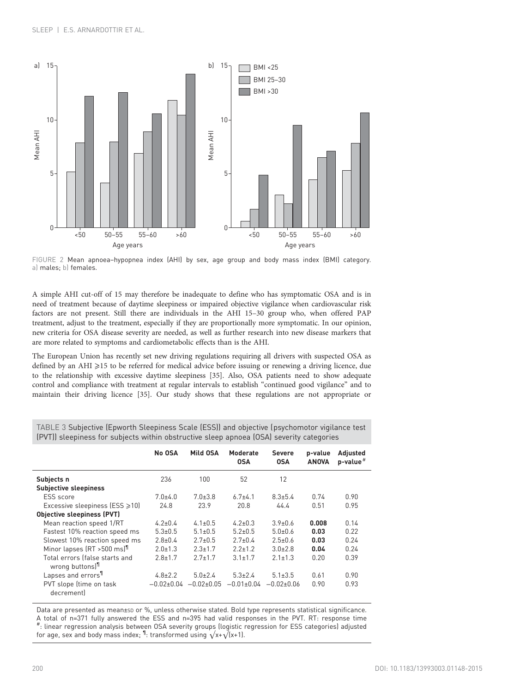<span id="page-6-0"></span>

FIGURE 2 Mean apnoea–hypopnea index (AHI) by sex, age group and body mass index (BMI) category. a) males; b) females.

A simple AHI cut-off of 15 may therefore be inadequate to define who has symptomatic OSA and is in need of treatment because of daytime sleepiness or impaired objective vigilance when cardiovascular risk factors are not present. Still there are individuals in the AHI 15–30 group who, when offered PAP treatment, adjust to the treatment, especially if they are proportionally more symptomatic. In our opinion, new criteria for OSA disease severity are needed, as well as further research into new disease markers that are more related to symptoms and cardiometabolic effects than is the AHI.

The European Union has recently set new driving regulations requiring all drivers with suspected OSA as defined by an AHI ≥15 to be referred for medical advice before issuing or renewing a driving licence, due to the relationship with excessive daytime sleepiness [\[35\]](#page-8-0). Also, OSA patients need to show adequate control and compliance with treatment at regular intervals to establish "continued good vigilance" and to maintain their driving licence [\[35\]](#page-8-0). Our study shows that these regulations are not appropriate or

|                                                               | No OSA              | Mild OSA                      | Moderate<br><b>OSA</b> | <b>Severe</b><br><b>OSA</b> | p-value<br><b>ANOVA</b> | Adjusted<br>$p$ -value <sup>#</sup> |
|---------------------------------------------------------------|---------------------|-------------------------------|------------------------|-----------------------------|-------------------------|-------------------------------------|
| Subjects n<br><b>Subjective sleepiness</b>                    | 236                 | 100                           | 52                     | 12                          |                         |                                     |
| ESS score<br>Excessive sleepiness (ESS $\geq 10$ )            | $7.0 + 4.0$<br>24.8 | $7.0 \pm 3.8$<br>23.9         | $67+41$<br>20.8        | $8.3 \pm 5.4$<br>44.4       | 0.74<br>0.51            | 0.90<br>0.95                        |
| <b>Objective sleepiness (PVT)</b>                             |                     |                               |                        |                             |                         |                                     |
| Mean reaction speed 1/RT                                      | $4.2 \pm 0.4$       | $4.1 \pm 0.5$                 | $4.2 + 0.3$            | $39+06$                     | 0.008                   | 0.14                                |
| Fastest 10% reaction speed ms                                 | $5.3 \pm 0.5$       | $5.1 \pm 0.5$                 | $5.2 \pm 0.5$          | $5.0 + 0.6$                 | 0.03                    | 0.22                                |
| Slowest 10% reaction speed ms                                 | $2.8 \pm 0.4$       | $2.7 \pm 0.5$                 | $2.7 \pm 0.4$          | $2.5 \pm 0.6$               | 0.03                    | 0.24                                |
| Minor lapses (RT > 500 ms) <sup>1</sup>                       | $2.0 \pm 1.3$       | $2.3 \pm 1.7$                 | $2.2 \pm 1.2$          | $3.0 \pm 2.8$               | 0.04                    | 0.24                                |
| Total errors (false starts and<br>wrong buttons] <sup>1</sup> | $2.8 \pm 1.7$       | $2.7 \pm 1.7$                 | $3.1 \pm 1.7$          | $2.1 \pm 1.3$               | 0.20                    | 0.39                                |
| Lapses and errors <sup>11</sup>                               | $4.8 \pm 2.2$       | $5.0 \pm 2.4$                 | $5.3 \pm 2.4$          | $5.1 \pm 3.5$               | 0.61                    | 0.90                                |
| PVT slope (time on task<br>decrement                          |                     | $-0.02\pm0.04$ $-0.02\pm0.05$ | $-0.01\pm0.04$         | –በ በ2+በ በለ                  | 0.90                    | 0.93                                |

TABLE 3 Subjective (Epworth Sleepiness Scale (ESS)) and objective (psychomotor vigilance test (PVT)) sleepiness for subjects within obstructive sleep apnoea (OSA) severity categories

Data are presented as mean±sp or %, unless otherwise stated. Bold type represents statistical significance. A total of n=371 fully answered the ESS and n=395 had valid responses in the PVT. RT: response time # : linear regression analysis between OSA severity groups (logistic regression for ESS categories) adjusted for age, sex and body mass index;  $^{\text{\tiny{\textsf{I}}}}\!.$  transformed using  $\sqrt{x}$ + $\sqrt{x}$  (x+1).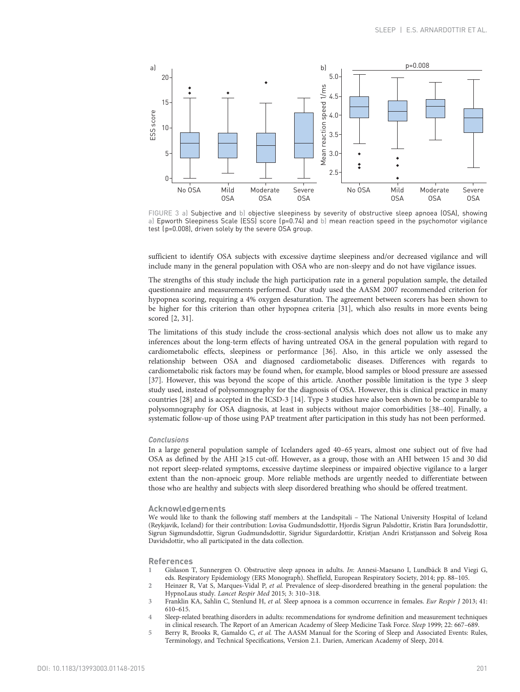<span id="page-7-0"></span>

FIGURE 3 a) Subjective and b) objective sleepiness by severity of obstructive sleep apnoea (OSA), showing a) Epworth Sleepiness Scale (ESS) score (p=0.74) and b) mean reaction speed in the psychomotor vigilance test (p=0.008), driven solely by the severe OSA group.

sufficient to identify OSA subjects with excessive daytime sleepiness and/or decreased vigilance and will include many in the general population with OSA who are non-sleepy and do not have vigilance issues.

The strengths of this study include the high participation rate in a general population sample, the detailed questionnaire and measurements performed. Our study used the AASM 2007 recommended criterion for hypopnea scoring, requiring a 4% oxygen desaturation. The agreement between scorers has been shown to be higher for this criterion than other hypopnea criteria [\[31](#page-8-0)], which also results in more events being scored [2, [31\]](#page-8-0).

The limitations of this study include the cross-sectional analysis which does not allow us to make any inferences about the long-term effects of having untreated OSA in the general population with regard to cardiometabolic effects, sleepiness or performance [[36](#page-8-0)]. Also, in this article we only assessed the relationship between OSA and diagnosed cardiometabolic diseases. Differences with regards to cardiometabolic risk factors may be found when, for example, blood samples or blood pressure are assessed [\[37\]](#page-8-0). However, this was beyond the scope of this article. Another possible limitation is the type 3 sleep study used, instead of polysomnography for the diagnosis of OSA. However, this is clinical practice in many countries [[28](#page-8-0)] and is accepted in the ICSD-3 [\[14\]](#page-8-0). Type 3 studies have also been shown to be comparable to polysomnography for OSA diagnosis, at least in subjects without major comorbidities [\[38](#page-8-0)–[40](#page-8-0)]. Finally, a systematic follow-up of those using PAP treatment after participation in this study has not been performed.

#### Conclusions

In a large general population sample of Icelanders aged 40–65 years, almost one subject out of five had OSA as defined by the AHI ≥15 cut-off. However, as a group, those with an AHI between 15 and 30 did not report sleep-related symptoms, excessive daytime sleepiness or impaired objective vigilance to a larger extent than the non-apnoeic group. More reliable methods are urgently needed to differentiate between those who are healthy and subjects with sleep disordered breathing who should be offered treatment.

#### Acknowledgements

We would like to thank the following staff members at the Landspitali – The National University Hospital of Iceland (Reykjavik, Iceland) for their contribution: Lovisa Gudmundsdottir, Hjordis Sigrun Palsdottir, Kristin Bara Jorundsdottir, Sigrun Sigmundsdottir, Sigrun Gudmundsdottir, Sigridur Sigurdardottir, Kristjan Andri Kristjansson and Solveig Rosa Davidsdottir, who all participated in the data collection.

#### References

- 1 Gislason T, Sunnergren O. Obstructive sleep apnoea in adults. In: Annesi-Maesano I, Lundbäck B and Viegi G, eds. Respiratory Epidemiology (ERS Monograph). Sheffield, European Respiratory Society, 2014; pp. 88–105.
- 2 Heinzer R, Vat S, Marques-Vidal P, et al. Prevalence of sleep-disordered breathing in the general population: the HypnoLaus study. Lancet Respir Med 2015; 3: 310–318.
- 3 Franklin KA, Sahlin C, Stenlund H, et al. Sleep apnoea is a common occurrence in females. Eur Respir J 2013; 41: 610–615.
- 4 Sleep-related breathing disorders in adults: recommendations for syndrome definition and measurement techniques in clinical research. The Report of an American Academy of Sleep Medicine Task Force. Sleep 1999; 22: 667–689.
- 5 Berry R, Brooks R, Gamaldo C, et al. The AASM Manual for the Scoring of Sleep and Associated Events: Rules, Terminology, and Technical Specifications, Version 2.1. Darien, American Academy of Sleep, 2014.